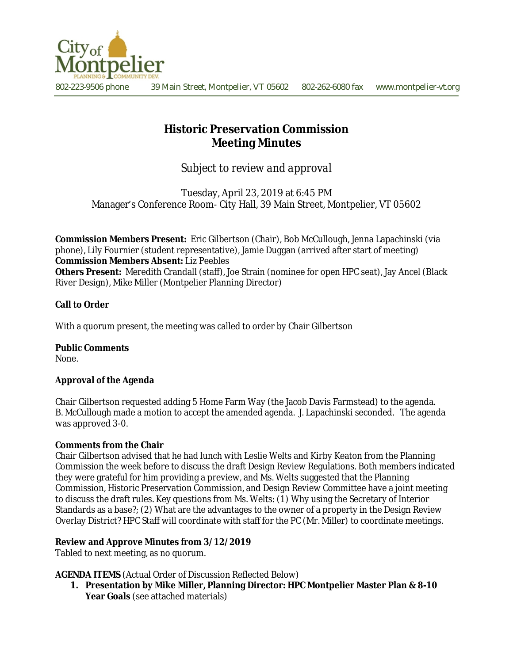

802-223-9506 phone 39 Main Street, Montpelier, VT 05602 802-262-6080 fax www.montpelier-vt.org

# **Historic Preservation Commission Meeting Minutes**

*Subject to review and approval*

Tuesday, April 23, 2019 at 6:45 PM Manager's Conference Room- City Hall, 39 Main Street, Montpelier, VT 05602

**Commission Members Present:** Eric Gilbertson (Chair), Bob McCullough, Jenna Lapachinski (via phone), Lily Fournier (student representative), Jamie Duggan (arrived after start of meeting) **Commission Members Absent:** Liz Peebles **Others Present:** Meredith Crandall (staff), Joe Strain (nominee for open HPC seat), Jay Ancel (Black

# **Call to Order**

With a quorum present, the meeting was called to order by Chair Gilbertson

River Design), Mike Miller (Montpelier Planning Director)

# **Public Comments**

None.

# **Approval of the Agenda**

Chair Gilbertson requested adding 5 Home Farm Way (the Jacob Davis Farmstead) to the agenda. B. McCullough made a motion to accept the amended agenda. J. Lapachinski seconded. The agenda was approved 3-0.

# **Comments from the Chair**

Chair Gilbertson advised that he had lunch with Leslie Welts and Kirby Keaton from the Planning Commission the week before to discuss the draft Design Review Regulations. Both members indicated they were grateful for him providing a preview, and Ms. Welts suggested that the Planning Commission, Historic Preservation Commission, and Design Review Committee have a joint meeting to discuss the draft rules. Key questions from Ms. Welts: (1) Why using the Secretary of Interior Standards as a base?; (2) What are the advantages to the owner of a property in the Design Review Overlay District? HPC Staff will coordinate with staff for the PC (Mr. Miller) to coordinate meetings.

# **Review and Approve Minutes from 3/12/2019**

Tabled to next meeting, as no quorum.

**AGENDA ITEMS** (Actual Order of Discussion Reflected Below)

**1. Presentation by Mike Miller, Planning Director: HPC Montpelier Master Plan & 8-10 Year Goals** (see attached materials)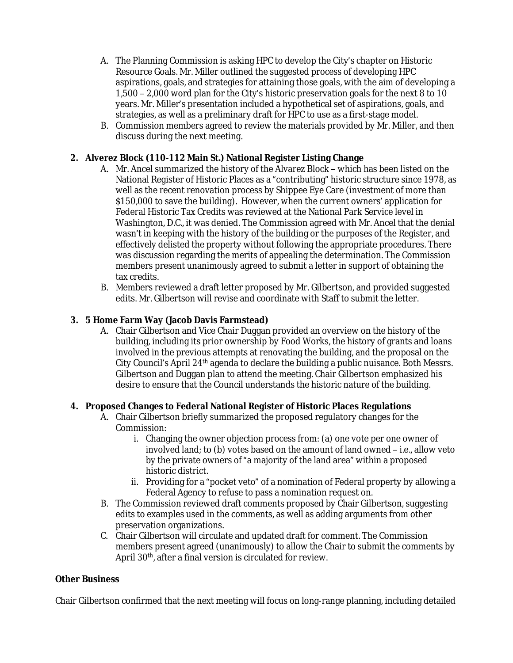- A. The Planning Commission is asking HPC to develop the City's chapter on Historic Resource Goals. Mr. Miller outlined the suggested process of developing HPC aspirations, goals, and strategies for attaining those goals, with the aim of developing a 1,500 – 2,000 word plan for the City's historic preservation goals for the next 8 to 10 years. Mr. Miller's presentation included a hypothetical set of aspirations, goals, and strategies, as well as a preliminary draft for HPC to use as a first-stage model.
- B. Commission members agreed to review the materials provided by Mr. Miller, and then discuss during the next meeting.

# **2. Alverez Block (110-112 Main St.) National Register Listing Change**

- A. Mr. Ancel summarized the history of the Alvarez Block which has been listed on the National Register of Historic Places as a "contributing" historic structure since 1978, as well as the recent renovation process by Shippee Eye Care (investment of more than \$150,000 to save the building). However, when the current owners' application for Federal Historic Tax Credits was reviewed at the National Park Service level in Washington, D.C., it was denied. The Commission agreed with Mr. Ancel that the denial wasn't in keeping with the history of the building or the purposes of the Register, and effectively delisted the property without following the appropriate procedures. There was discussion regarding the merits of appealing the determination. The Commission members present unanimously agreed to submit a letter in support of obtaining the tax credits.
- B. Members reviewed a draft letter proposed by Mr. Gilbertson, and provided suggested edits. Mr. Gilbertson will revise and coordinate with Staff to submit the letter.

#### **3. 5 Home Farm Way (Jacob Davis Farmstead)**

A. Chair Gilbertson and Vice Chair Duggan provided an overview on the history of the building, including its prior ownership by Food Works, the history of grants and loans involved in the previous attempts at renovating the building, and the proposal on the City Council's April  $24<sup>th</sup>$  agenda to declare the building a public nuisance. Both Messrs. Gilbertson and Duggan plan to attend the meeting. Chair Gilbertson emphasized his desire to ensure that the Council understands the historic nature of the building.

# **4. Proposed Changes to Federal National Register of Historic Places Regulations**

- A. Chair Gilbertson briefly summarized the proposed regulatory changes for the Commission:
	- i. Changing the owner objection process from: (a) one vote per one owner of involved land; to (b) votes based on the amount of land owned – i.e., allow veto by the private owners of "a majority of the land area" within a proposed historic district.
	- ii. Providing for a "pocket veto" of a nomination of Federal property by allowing a Federal Agency to refuse to pass a nomination request on.
- B. The Commission reviewed draft comments proposed by Chair Gilbertson, suggesting edits to examples used in the comments, as well as adding arguments from other preservation organizations.
- C. Chair Gilbertson will circulate and updated draft for comment. The Commission members present agreed (unanimously) to allow the Chair to submit the comments by April 30th, after a final version is circulated for review.

# **Other Business**

Chair Gilbertson confirmed that the next meeting will focus on long-range planning, including detailed